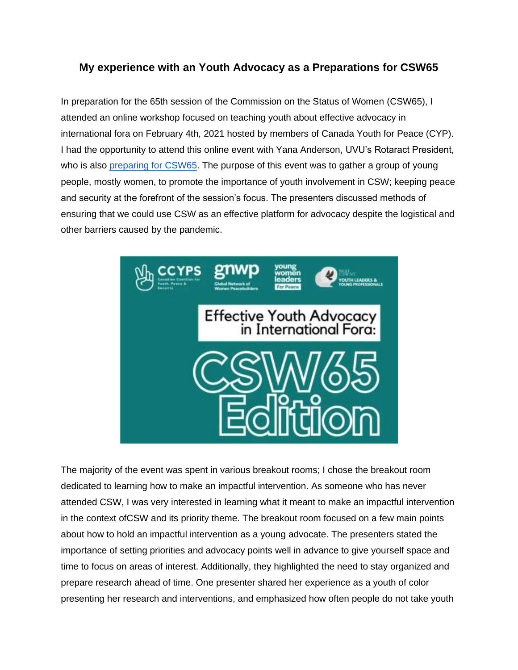## **My experience with an Youth Advocacy as a Preparations for CSW65**

In preparation for the 65th session of the Commission on the Status of Women (CSW65), I attended an online workshop focused on teaching youth about effective advocacy in international fora on February 4th, 2021 hosted by members of Canada Youth for Peace (CYP). I had the opportunity to attend this online event with Yana Anderson, UVU's Rotaract President, who is also [preparing for CSW65.](http://utahimf.org/archives/5880) The purpose of this event was to gather a group of young people, mostly women, to promote the importance of youth involvement in CSW; keeping peace and security at the forefront of the session's focus. The presenters discussed methods of ensuring that we could use CSW as an effective platform for advocacy despite the logistical and other barriers caused by the pandemic.



The majority of the event was spent in various breakout rooms; I chose the breakout room dedicated to learning how to make an impactful intervention. As someone who has never attended CSW, I was very interested in learning what it meant to make an impactful intervention in the context ofCSW and its priority theme. The breakout room focused on a few main points about how to hold an impactful intervention as a young advocate. The presenters stated the importance of setting priorities and advocacy points well in advance to give yourself space and time to focus on areas of interest. Additionally, they highlighted the need to stay organized and prepare research ahead of time. One presenter shared her experience as a youth of color presenting her research and interventions, and emphasized how often people do not take youth